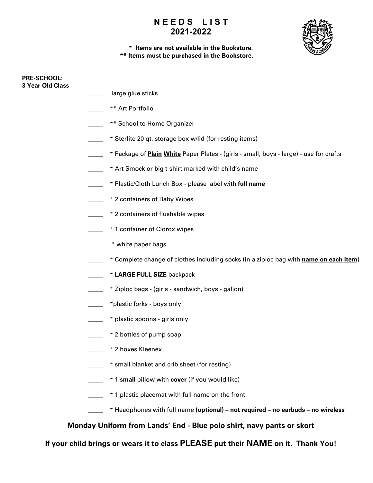

### **\* Items are not available in the Bookstore. \*\* Items must be purchased in the Bookstore.**

| <b>PRE-SCHOOL:</b><br><b>3 Year Old Class</b> |                                                                                               |
|-----------------------------------------------|-----------------------------------------------------------------------------------------------|
|                                               | large glue sticks                                                                             |
|                                               | ** Art Portfolio                                                                              |
|                                               | ** School to Home Organizer                                                                   |
|                                               | * Sterlite 20 qt. storage box w/lid (for resting items)                                       |
|                                               | * Package of <b>Plain White</b> Paper Plates - (girls - small, boys - large) - use for crafts |
|                                               | * Art Smock or big t-shirt marked with child's name                                           |
|                                               | * Plastic/Cloth Lunch Box - please label with full name                                       |
|                                               | * 2 containers of Baby Wipes                                                                  |
|                                               | * 2 containers of flushable wipes                                                             |
|                                               | * 1 container of Clorox wipes                                                                 |
|                                               | * white paper bags                                                                            |
|                                               | * Complete change of clothes including socks (in a ziploc bag with name on each item)         |
|                                               | * LARGE FULL SIZE backpack                                                                    |
|                                               | * Ziploc bags - (girls - sandwich, boys - gallon)                                             |
|                                               | *plastic forks - boys only                                                                    |
|                                               | * plastic spoons - girls only                                                                 |
|                                               | * 2 bottles of pump soap                                                                      |
|                                               | * 2 boxes Kleenex                                                                             |
|                                               | * small blanket and crib sheet (for resting)                                                  |
|                                               | * 1 small pillow with cover (if you would like)                                               |
|                                               | * 1 plastic placemat with full name on the front                                              |
|                                               | * Headphones with full name (optional) - not required - no earbuds - no wireless              |
|                                               | Monday Uniform from Lands' End - Blue polo shirt, navy pants or skort                         |
|                                               |                                                                                               |

**If your child brings or wears it to class PLEASE put their NAME on it. Thank You!**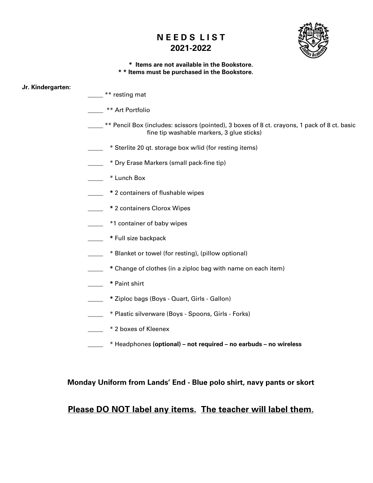

#### **\* Items are not available in the Bookstore. \* \* Items must be purchased in the Bookstore.**

#### **Jr. Kindergarten:**

- \*\* resting mat
- \_\_\_\_\_ \*\* Art Portfolio
- \_\_\_\_\_ \*\* Pencil Box (includes: scissors (pointed), 3 boxes of 8 ct. crayons, 1 pack of 8 ct. basic fine tip washable markers, 3 glue sticks)
- $\equiv$  \* Sterlite 20 qt. storage box w/lid (for resting items)
- \_\_\_\_\_ \* Dry Erase Markers (small pack-fine tip)
- \_\_\_\_\_ \* Lunch Box
- \_\_\_\_\_ **\*** 2 containers of flushable wipes
- **\_\_\_\_\_ \*** 2 containers Clorox Wipes
- \_\_\_\_\_ \*1 container of baby wipes
- **\_\_\_\_\_ \*** Full size backpack
- **EXEC 10** \* Blanket or towel (for resting), (pillow optional)
- **\_\_\_\_\_ \*** Change of clothes (in a ziploc bag with name on each item)
- **\_\_\_\_\_ \*** Paint shirt
- **\_\_\_\_\_ \*** Ziploc bags (Boys Quart, Girls Gallon)
- \_\_\_\_\_ \* Plastic silverware (Boys Spoons, Girls Forks)
- **\_\_\_\_\_** \* 2 boxes of Kleenex
- \_\_\_\_\_ \* Headphones **(optional) – not required – no earbuds – no wireless**

### **Monday Uniform from Lands' End - Blue polo shirt, navy pants or skort**

## **Please DO NOT label any items. The teacher will label them**.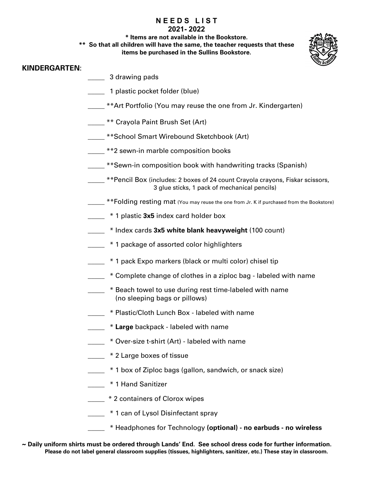**\* Items are not available in the Bookstore.**

**\*\* So that all children will have the same, the teacher requests that these** 

**items be purchased in the Sullins Bookstore.**

### **KINDERGARTEN**:

- \_\_\_\_\_ 3 drawing pads
- \_\_\_\_\_ 1 plastic pocket folder (blue)
- \*\*Art Portfolio (You may reuse the one from Jr. Kindergarten)
- \_\_\_\_\_ \*\* Crayola Paint Brush Set (Art)
- \_\_\_\_ \*\*School Smart Wirebound Sketchbook (Art)
- \_\_\_\_\_ \*\*2 sewn-in marble composition books
- **EXEC AT ADIOR 10 TEN 10 TEN 10 TEN 10 TEN 10 TEN 10 TEN 10 TEN 10 TEN 10 TEN 10 TEN 10 TEN 10 TEN 10 TEN 10 TE**
- \_\_\_\_\_ \*\*Pencil Box (includes: 2 boxes of 24 count Crayola crayons, Fiskar scissors, 3 glue sticks, 1 pack of mechanical pencils)
- \_\_\_\_\_ \*\*Folding resting mat (You may reuse the one from Jr. K if purchased from the Bookstore)
- **1** \* 1 plastic 3x5 index card holder box
- \_\_\_\_\_ \* Index cards **3x5 white blank heavyweight** (100 count)
- <sup>\*</sup> 1 package of assorted color highlighters
- <sup>\*</sup> 1 pack Expo markers (black or multi color) chisel tip
- \_\_\_\_\_ \* Complete change of clothes in a ziploc bag labeled with name
- \_\_\_\_\_ \* Beach towel to use during rest time-labeled with name (no sleeping bags or pillows)
- \_\_\_\_\_ \* Plastic/Cloth Lunch Box labeled with name
- **Large** backpack labeled with name
- \_\_\_\_\_ \* Over-size t-shirt (Art) labeled with name
- $\frac{1}{2}$  \* 2 Large boxes of tissue
	- \_\_\_\_\_ \* 1 box of Ziploc bags (gallon, sandwich, or snack size)
- \_\_\_\_\_ \* 1 Hand Sanitizer
- $\frac{1}{2}$  \* 2 containers of Clorox wipes
- <sup>\*</sup> 1 can of Lysol Disinfectant spray
- \_\_\_\_\_ \* Headphones for Technology **(optional) - no earbuds - no wireless**
- **~ Daily uniform shirts must be ordered through Lands' End. See school dress code for further information. Please do not label general classroom supplies (tissues, highlighters, sanitizer, etc.) These stay in classroom.**

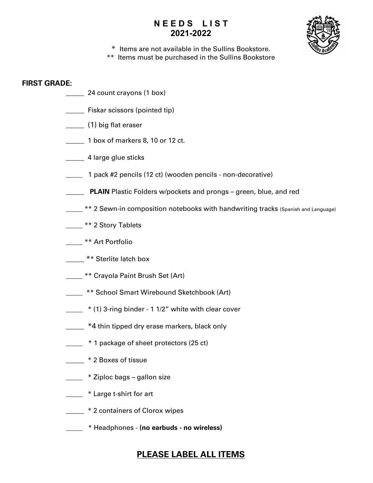

- \* Items are not available in the Sullins Bookstore.
- \*\* Items must be purchased in the Sullins Bookstore

### **FIRST GRADE:**

- \_\_\_\_\_ 24 count crayons (1 box)
- **EXALGE FISKAL SCISSORS (pointed tip)**
- \_\_\_\_\_ (1) big flat eraser
- 1 box of markers 8, 10 or 12 ct.
- **\_\_\_\_\_** 4 large glue sticks
- \_\_\_\_\_ 1 pack #2 pencils (12 ct) (wooden pencils non-decorative)
- **PLAIN** Plastic Folders w/pockets and prongs green, blue, and red
- \*\* 2 Sewn-in composition notebooks with handwriting tracks (Spanish and Language)
- \_\_\_\_ \*\* 2 Story Tablets
- \_\_\_\_\_ \*\* Art Portfolio
- \*\* Sterlite latch box
- \_\_\_\_\_ \*\* Crayola Paint Brush Set (Art)
- \_\_\_\_\_ \*\* School Smart Wirebound Sketchbook (Art)
- $\frac{1}{2}$  \* (1) 3-ring binder 1 1/2" white with clear cover
- \_\_\_\_\_ \*4 thin tipped dry erase markers, black only
- $\frac{1}{2}$  \* 1 package of sheet protectors (25 ct)
- \_\_\_\_\_ \* 2 Boxes of tissue
- **Example 2** \* Ziploc bags gallon size
- **Large t-shirt for art**
- **12 2 containers of Clorox wipes**
- \_\_\_\_\_ \* Headphones **(no earbuds - no wireless)**

# **PLEASE LABEL ALL ITEMS**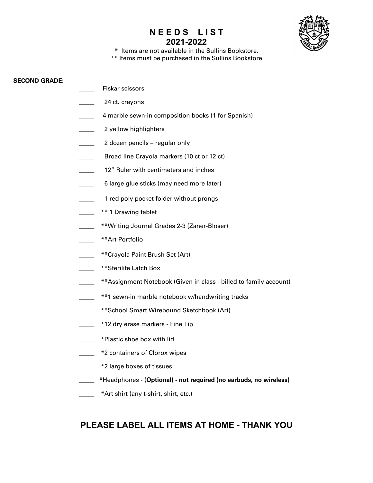

\* Items are not available in the Sullins Bookstore. \*\* Items must be purchased in the Sullins Bookstore

#### **SECOND GRADE:**

- \_\_\_\_\_ Fiskar scissors
- \_\_\_\_\_ 24 ct. crayons
- 4 marble sewn-in composition books (1 for Spanish)
- 2 yellow highlighters
- \_\_\_\_\_ 2 dozen pencils regular only
- **EXALGE 10 Broad line Crayola markers (10 ct or 12 ct)**
- 12" Ruler with centimeters and inches
- 6 large glue sticks (may need more later)
	- 1 red poly pocket folder without prongs
- \*\* 1 Drawing tablet
- \_\_\_\_\_ \*\*Writing Journal Grades 2-3 (Zaner-Bloser)
- \_\_\_\_\_ \*\*Art Portfolio
- \_\_\_\_\_ \*\*Crayola Paint Brush Set (Art)
- \_\_\_\_\_ \*\*Sterilite Latch Box
- \_\_\_\_\_ \*\*Assignment Notebook (Given in class billed to family account)
- \_\_\_\_\_ \*\*1 sewn-in marble notebook w/handwriting tracks
- \_\_\_\_\_ \*\*School Smart Wirebound Sketchbook (Art)
- **12 dry erase markers Fine Tip**
- \_\_\_\_\_ \*Plastic shoe box with lid
- $\frac{1}{2}$  \*2 containers of Clorox wipes
- \_\_\_\_\_ \*2 large boxes of tissues
- \_\_\_\_\_ \*Headphones (**Optional) - not required (no earbuds, no wireless)**
- \*Art shirt (any t-shirt, shirt, etc.)

## **PLEASE LABEL ALL ITEMS AT HOME - THANK YOU**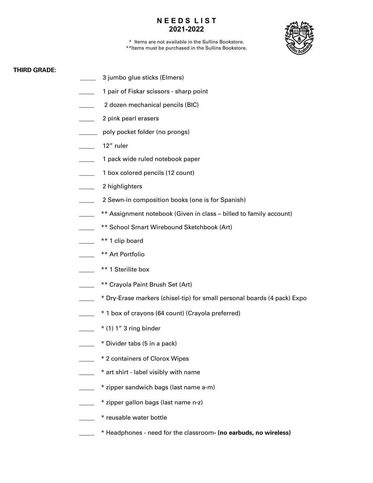

\* Items are not available in the Sullins Bookstore. \*\*Items must be purchased in the Sullins Bookstore.

#### **THIRD GRADE:**

- 3 jumbo glue sticks (Elmers)
- 1 pair of Fiskar scissors sharp point
- \_\_\_\_\_ 2 dozen mechanical pencils (BIC)
- \_\_\_\_\_ 2 pink pearl erasers
- poly pocket folder (no prongs)
- 12" ruler
- 1 pack wide ruled notebook paper
- 1 box colored pencils (12 count)
- \_\_\_\_\_ 2 highlighters
- 2 Sewn-in composition books (one is for Spanish)
- \*\* Assignment notebook (Given in class billed to family account)
- \*\* School Smart Wirebound Sketchbook (Art)
- \_\_\_\_\_ \*\* 1 clip board
- \_\_\_\_\_ \*\* Art Portfolio
- \*\* 1 Sterilite box
- \_\_\_\_\_ \*\* Crayola Paint Brush Set (Art)
- \_\_\_\_\_ \* Dry-Erase markers (chisel-tip) for small personal boards (4 pack) Expo
- \_\_\_\_\_ \* 1 box of crayons (64 count) (Crayola preferred)
- $*$  (1) 1" 3 ring binder
- \_\_\_\_\_ \* Divider tabs (5 in a pack)
- \_\_\_\_\_ \* 2 containers of Clorox Wipes
- \* art shirt label visibly with name
- \_\_\_\_\_ \* zipper sandwich bags (last name a-m)
- \_\_\_\_\_ \* zipper gallon bags (last name n-z)
- \_\_\_\_\_ \* reusable water bottle
- \_\_\_\_\_ \* Headphones need for the classroom**- (no earbuds, no wireless)**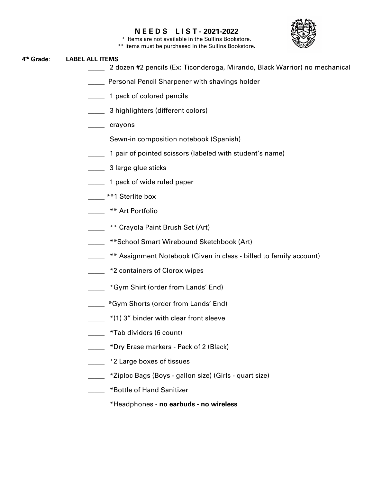

\* Items are not available in the Sullins Bookstore.

\*\* Items must be purchased in the Sullins Bookstore.

#### **4th Grade**: **LABEL ALL ITEMS**

- \_\_\_\_\_ 2 dozen #2 pencils (Ex: Ticonderoga, Mirando, Black Warrior) no mechanical
- **EXECUTE:** Personal Pencil Sharpener with shavings holder
- \_\_\_\_\_ 1 pack of colored pencils
- \_\_\_\_\_ 3 highlighters (different colors)
- \_\_\_\_\_ crayons
- **EXECT:** Sewn-in composition notebook (Spanish)
- \_\_\_\_\_ 1 pair of pointed scissors (labeled with student's name)
- **2008** 3 large glue sticks
- \_\_\_\_\_ 1 pack of wide ruled paper
- **\_\_\_\_<sup>\*\*</sup>1** Sterlite box
- **Example 3 \*\* Art Portfolio**
- **\_\_\_\_\_ \*\* Crayola Paint Brush Set (Art)**
- \_\_\_\_\_ \*\*School Smart Wirebound Sketchbook (Art)
- **EXECUTE:** \*\* Assignment Notebook (Given in class billed to family account)
- **EXECUTE:** \*2 containers of Clorox wipes
- \_\_\_\_\_ \*Gym Shirt (order from Lands' End)
- \_\_\_\_\_ \*Gym Shorts (order from Lands' End)
- $*(1)$  3" binder with clear front sleeve
- \_\_\_\_\_ \*Tab dividers (6 count)
- \_\_\_\_\_ \*Dry Erase markers Pack of 2 (Black)
- **12 Theory of the 2 Y 2 Large boxes of tissues**
- \_\_\_\_\_ \*Ziploc Bags (Boys gallon size) (Girls quart size)
- \_\_\_\_\_ \*Bottle of Hand Sanitizer
- \_\_\_\_\_ \*Headphones **no earbuds - no wireless**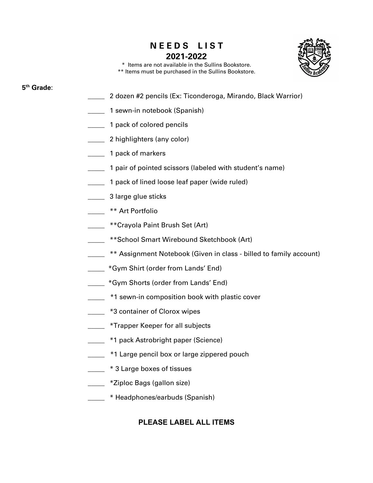

\* Items are not available in the Sullins Bookstore. \*\* Items must be purchased in the Sullins Bookstore.

## **5th Grade**:

- 2 dozen #2 pencils (Ex: Ticonderoga, Mirando, Black Warrior)
- 1 sewn-in notebook (Spanish)
- **1** pack of colored pencils
- \_\_\_\_\_ 2 highlighters (any color)
- **1 pack of markers**
- \_\_\_\_\_ 1 pair of pointed scissors (labeled with student's name)
- \_\_\_\_\_ 1 pack of lined loose leaf paper (wide ruled)
- **2008** 3 large glue sticks
- \_\_\_\_\_ \*\* Art Portfolio
- **EXECTA FRANCE ARTLE 15 THE FILM SET (Art)**
- **Example 3** \*\* School Smart Wirebound Sketchbook (Art)
- **EXECU ASSESS** \*\* Assignment Notebook (Given in class billed to family account)
- **EXECUTE:** \*Gym Shirt (order from Lands' End)
- \_\_\_\_\_ \*Gym Shorts (order from Lands' End)
- **1** \*1 sewn-in composition book with plastic cover
- **120.5** \*3 container of Clorox wipes
- \_\_\_\_\_ \*Trapper Keeper for all subjects
- <sup>\*</sup>1 pack Astrobright paper (Science)
- **1.** \*1 Large pencil box or large zippered pouch
- $\frac{1}{2}$  \* 3 Large boxes of tissues
- **Example 2** \*Ziploc Bags (gallon size)
- \_\_\_\_\_ \* Headphones/earbuds (Spanish)

## **PLEASE LABEL ALL ITEMS**